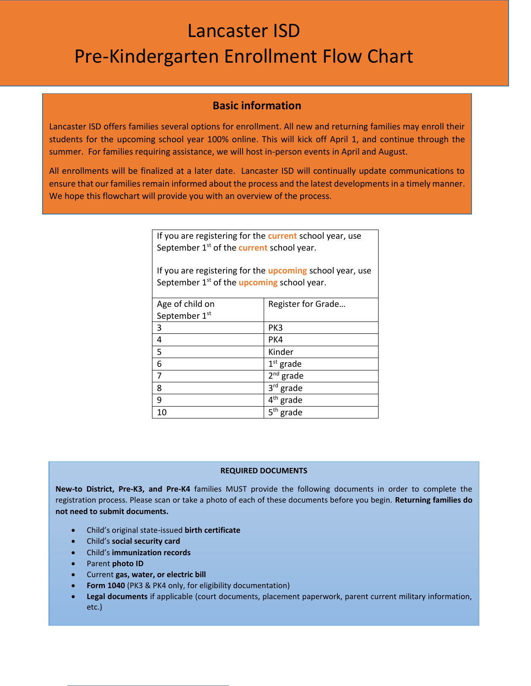# Lancaster ISD Pre-Kindergarten Enrollment Flow Chart

### **Basic information**

Lancaster ISD offers families several options for enrollment. All new and returning families may enroll their students for the upcoming school year 100% online. This will kick off April 1, and continue through the summer. For families requiring assistance, we will host in-person events in April and August.

All enrollments will be finalized at a later date. Lancaster ISD will continually update communications to ensure that our families remain informed about the process and the latest developments in a timely manner. We hope this flowchart will provide you with an overview of the process.

> If you are registering for the **current** school year, use September 1<sup>st</sup> of the **current** school year.

If you are registering for the **upcoming** school year, use September 1<sup>st</sup> of the *upcoming* school year.

| Age of child on | Register for Grade       |
|-----------------|--------------------------|
| September 1st   |                          |
| 3               | PK3                      |
| 4               | PK4                      |
| 5               | Kinder                   |
| 6               | $1st$ grade              |
| 7               | $2nd$ grade              |
| 8               | 3rd grade                |
| 9               | 4 <sup>th</sup> grade    |
| 10              | 5 <sup>th</sup><br>grade |

#### **REQUIRED DOCUMENTS**

**New-to District, Pre-K3, and Pre-K4** families MUST provide the following documents in order to complete the registration process. Please scan or take a photo of each of these documents before you begin. **Returning families do not need to submit documents.**

- Child's original state-issued **birth certificate**
- Child's **social security card**
- Child's **immunization records**
- Parent **photo ID**
- Current **gas, water, or electric bill**
- **Form 1040** (PK3 & PK4 only, for eligibility documentation)

The parent will up the parent will up the end of the end of the end of the end of the end of the registration

 **Legal documents** if applicable (court documents, placement paperwork, parent current military information, etc.)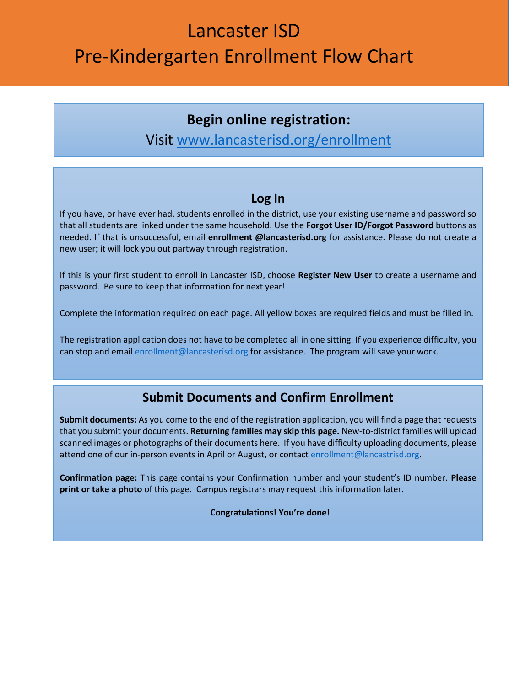# Lancaster ISD Pre-Kindergarten Enrollment Flow Chart

## **Begin online registration:**

## Visit www.lancasterisd.org/enrollment

### **Log In**

If you have, or have ever had, students enrolled in the district, use your existing username and password so that all students are linked under the same household. Use the **Forgot User ID/Forgot Password** buttons as needed. If that is unsuccessful, email **enrollment @lancasterisd.org** for assistance. Please do not create a new user; it will lock you out partway through registration.

If this is your first student to enroll in Lancaster ISD, choose **Register New User** to create a username and password. Be sure to keep that information for next year!

Complete the information required on each page. All yellow boxes are required fields and must be filled in.

The registration application does not have to be completed all in one sitting. If you experience difficulty, you can stop and email enrollment@lancasterisd.org for assistance. The program will save your work.

## **Submit Documents and Confirm Enrollment**

**Submit documents:** As you come to the end of the registration application, you will find a page that requests that you submit your documents. **Returning families may skip this page.** New-to-district families will upload scanned images or photographs of their documents here. If you have difficulty uploading documents, please attend one of our in-person events in April or August, or contact [enrollment@lancastrisd.org.](mailto:enrollment@lancastrisd.org)

**Confirmation page:** This page contains your Confirmation number and your student's ID number. **Please print or take a photo** of this page. Campus registrars may request this information later.

**Congratulations! You're done!**